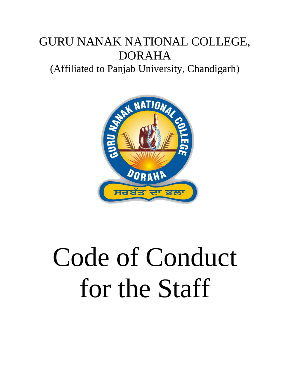## GURU NANAK NATIONAL COLLEGE, DORAHA

(Affiliated to Panjab University, Chandigarh)



## Code of Conduct for the Staff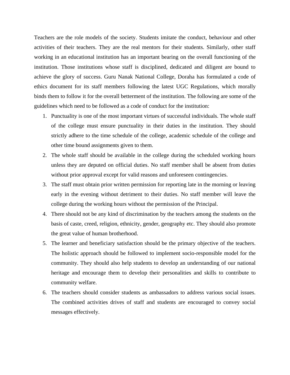Teachers are the role models of the society. Students imitate the conduct, behaviour and other activities of their teachers. They are the real mentors for their students. Similarly, other staff working in an educational institution has an important bearing on the overall functioning of the institution. Those institutions whose staff is disciplined, dedicated and diligent are bound to achieve the glory of success. Guru Nanak National College, Doraha has formulated a code of ethics document for its staff members following the latest UGC Regulations, which morally binds them to follow it for the overall betterment of the institution. The following are some of the guidelines which need to be followed as a code of conduct for the institution:

- 1. Punctuality is one of the most important virtues of successful individuals. The whole staff of the college must ensure punctuality in their duties in the institution. They should strictly adhere to the time schedule of the college, academic schedule of the college and other time bound assignments given to them.
- 2. The whole staff should be available in the college during the scheduled working hours unless they are deputed on official duties. No staff member shall be absent from duties without prior approval except for valid reasons and unforeseen contingencies.
- 3. The staff must obtain prior written permission for reporting late in the morning or leaving early in the evening without detriment to their duties. No staff member will leave the college during the working hours without the permission of the Principal.
- 4. There should not be any kind of discrimination by the teachers among the students on the basis of caste, creed, religion, ethnicity, gender, geography etc. They should also promote the great value of human brotherhood.
- 5. The learner and beneficiary satisfaction should be the primary objective of the teachers. The holistic approach should be followed to implement socio-responsible model for the community. They should also help students to develop an understanding of our national heritage and encourage them to develop their personalities and skills to contribute to community welfare.
- 6. The teachers should consider students as ambassadors to address various social issues. The combined activities drives of staff and students are encouraged to convey social messages effectively.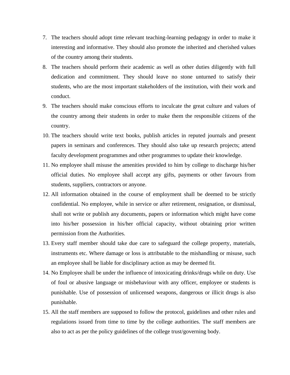- 7. The teachers should adopt time relevant teaching-learning pedagogy in order to make it interesting and informative. They should also promote the inherited and cherished values of the country among their students.
- 8. The teachers should perform their academic as well as other duties diligently with full dedication and commitment. They should leave no stone unturned to satisfy their students, who are the most important stakeholders of the institution, with their work and conduct.
- 9. The teachers should make conscious efforts to inculcate the great culture and values of the country among their students in order to make them the responsible citizens of the country.
- 10. The teachers should write text books, publish articles in reputed journals and present papers in seminars and conferences. They should also take up research projects; attend faculty development programmes and other programmes to update their knowledge.
- 11. No employee shall misuse the amenities provided to him by college to discharge his/her official duties. No employee shall accept any gifts, payments or other favours from students, suppliers, contractors or anyone.
- 12. All information obtained in the course of employment shall be deemed to be strictly confidential. No employee, while in service or after retirement, resignation, or dismissal, shall not write or publish any documents, papers or information which might have come into his/her possession in his/her official capacity, without obtaining prior written permission from the Authorities.
- 13. Every staff member should take due care to safeguard the college property, materials, instruments etc. Where damage or loss is attributable to the mishandling or misuse, such an employee shall be liable for disciplinary action as may be deemed fit.
- 14. No Employee shall be under the influence of intoxicating drinks/drugs while on duty. Use of foul or abusive language or misbehaviour with any officer, employee or students is punishable. Use of possession of unlicensed weapons, dangerous or illicit drugs is also punishable.
- 15. All the staff members are supposed to follow the protocol, guidelines and other rules and regulations issued from time to time by the college authorities. The staff members are also to act as per the policy guidelines of the college trust/governing body.